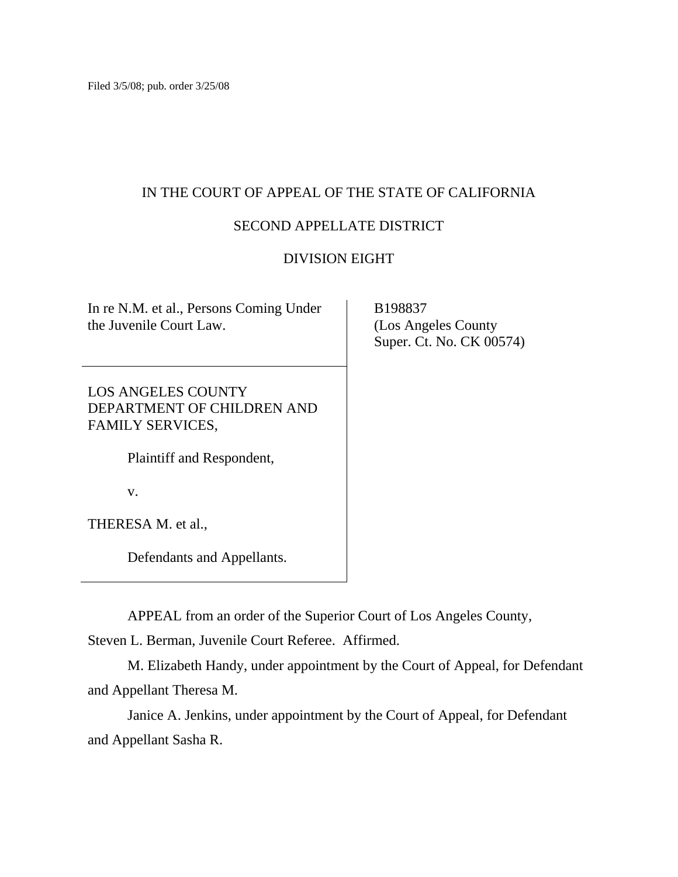## IN THE COURT OF APPEAL OF THE STATE OF CALIFORNIA

# SECOND APPELLATE DISTRICT

# DIVISION EIGHT

| In re N.M. et al., Persons Coming Under |
|-----------------------------------------|
| the Juvenile Court Law.                 |

LOS ANGELES COUNTY DEPARTMENT OF CHILDREN AND FAMILY SERVICES,

Plaintiff and Respondent,

v.

THERESA M. et al.,

Defendants and Appellants.

APPEAL from an order of the Superior Court of Los Angeles County,

Steven L. Berman, Juvenile Court Referee. Affirmed.

 M. Elizabeth Handy, under appointment by the Court of Appeal, for Defendant and Appellant Theresa M.

 Janice A. Jenkins, under appointment by the Court of Appeal, for Defendant and Appellant Sasha R.

 B198837 (Los Angeles County Super. Ct. No. CK 00574)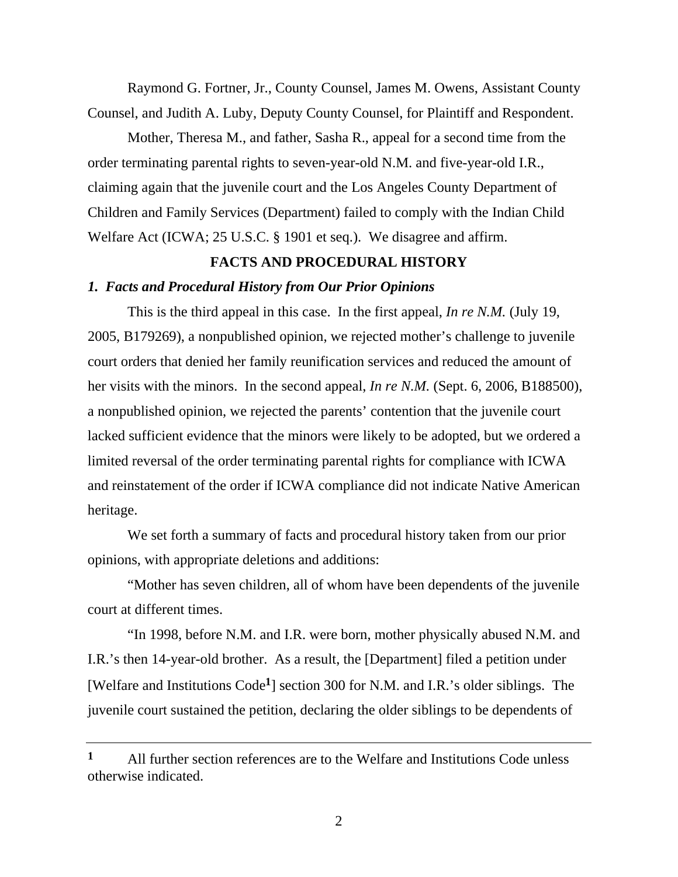Raymond G. Fortner, Jr., County Counsel, James M. Owens, Assistant County Counsel, and Judith A. Luby, Deputy County Counsel, for Plaintiff and Respondent.

 Mother, Theresa M., and father, Sasha R., appeal for a second time from the order terminating parental rights to seven-year-old N.M. and five-year-old I.R., claiming again that the juvenile court and the Los Angeles County Department of Children and Family Services (Department) failed to comply with the Indian Child Welfare Act (ICWA; 25 U.S.C. § 1901 et seq.). We disagree and affirm.

## **FACTS AND PROCEDURAL HISTORY**

## *1. Facts and Procedural History from Our Prior Opinions*

 This is the third appeal in this case. In the first appeal, *In re N.M.* (July 19, 2005, B179269), a nonpublished opinion, we rejected mother's challenge to juvenile court orders that denied her family reunification services and reduced the amount of her visits with the minors. In the second appeal, *In re N.M.* (Sept. 6, 2006, B188500), a nonpublished opinion, we rejected the parents' contention that the juvenile court lacked sufficient evidence that the minors were likely to be adopted, but we ordered a limited reversal of the order terminating parental rights for compliance with ICWA and reinstatement of the order if ICWA compliance did not indicate Native American heritage.

 We set forth a summary of facts and procedural history taken from our prior opinions, with appropriate deletions and additions:

 "Mother has seven children, all of whom have been dependents of the juvenile court at different times.

 "In 1998, before N.M. and I.R. were born, mother physically abused N.M. and I.R.'s then 14-year-old brother. As a result, the [Department] filed a petition under [Welfare and Institutions Code**1**] section 300 for N.M. and I.R.'s older siblings. The juvenile court sustained the petition, declaring the older siblings to be dependents of

**<sup>1</sup>** All further section references are to the Welfare and Institutions Code unless otherwise indicated.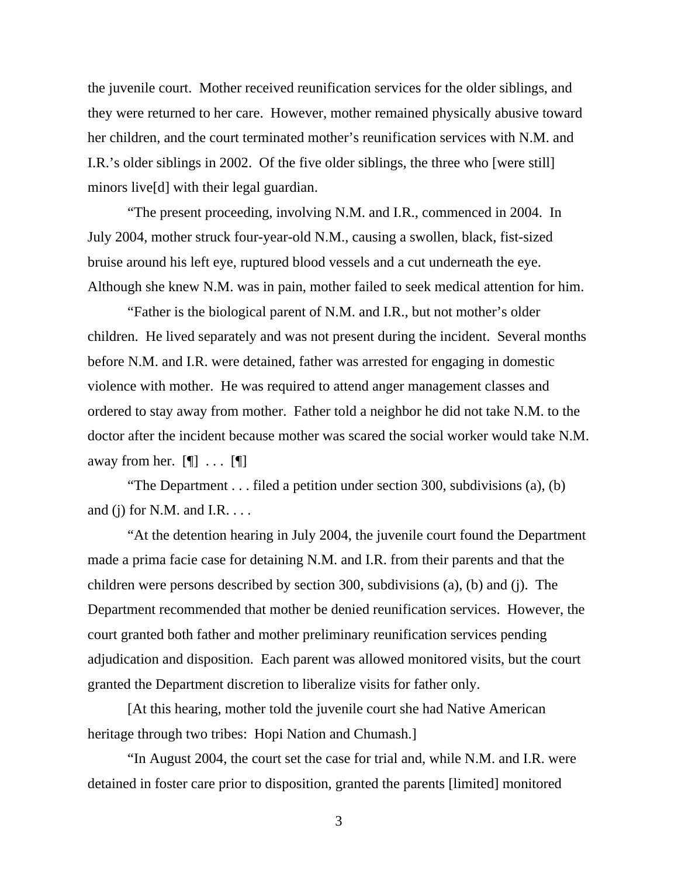the juvenile court. Mother received reunification services for the older siblings, and they were returned to her care. However, mother remained physically abusive toward her children, and the court terminated mother's reunification services with N.M. and I.R.'s older siblings in 2002. Of the five older siblings, the three who [were still] minors live[d] with their legal guardian.

 "The present proceeding, involving N.M. and I.R., commenced in 2004. In July 2004, mother struck four-year-old N.M., causing a swollen, black, fist-sized bruise around his left eye, ruptured blood vessels and a cut underneath the eye. Although she knew N.M. was in pain, mother failed to seek medical attention for him.

 "Father is the biological parent of N.M. and I.R., but not mother's older children. He lived separately and was not present during the incident. Several months before N.M. and I.R. were detained, father was arrested for engaging in domestic violence with mother. He was required to attend anger management classes and ordered to stay away from mother. Father told a neighbor he did not take N.M. to the doctor after the incident because mother was scared the social worker would take N.M. away from her.  $[\P]$  ...  $[\P]$ 

 "The Department . . . filed a petition under section 300, subdivisions (a), (b) and (j) for N.M. and I.R.  $\dots$ 

 "At the detention hearing in July 2004, the juvenile court found the Department made a prima facie case for detaining N.M. and I.R. from their parents and that the children were persons described by section 300, subdivisions (a), (b) and (j). The Department recommended that mother be denied reunification services. However, the court granted both father and mother preliminary reunification services pending adjudication and disposition. Each parent was allowed monitored visits, but the court granted the Department discretion to liberalize visits for father only.

 [At this hearing, mother told the juvenile court she had Native American heritage through two tribes: Hopi Nation and Chumash.

 "In August 2004, the court set the case for trial and, while N.M. and I.R. were detained in foster care prior to disposition, granted the parents [limited] monitored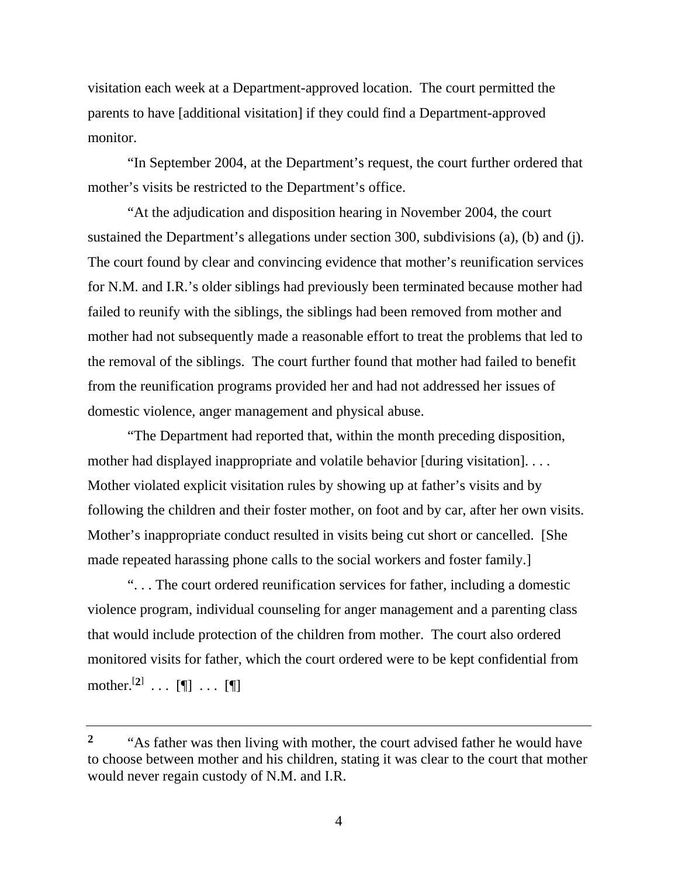visitation each week at a Department-approved location. The court permitted the parents to have [additional visitation] if they could find a Department-approved monitor.

 "In September 2004, at the Department's request, the court further ordered that mother's visits be restricted to the Department's office.

 "At the adjudication and disposition hearing in November 2004, the court sustained the Department's allegations under section 300, subdivisions (a), (b) and (j). The court found by clear and convincing evidence that mother's reunification services for N.M. and I.R.'s older siblings had previously been terminated because mother had failed to reunify with the siblings, the siblings had been removed from mother and mother had not subsequently made a reasonable effort to treat the problems that led to the removal of the siblings. The court further found that mother had failed to benefit from the reunification programs provided her and had not addressed her issues of domestic violence, anger management and physical abuse.

 "The Department had reported that, within the month preceding disposition, mother had displayed inappropriate and volatile behavior [during visitation]. . . . Mother violated explicit visitation rules by showing up at father's visits and by following the children and their foster mother, on foot and by car, after her own visits. Mother's inappropriate conduct resulted in visits being cut short or cancelled. [She made repeated harassing phone calls to the social workers and foster family.]

 ". . . The court ordered reunification services for father, including a domestic violence program, individual counseling for anger management and a parenting class that would include protection of the children from mother. The court also ordered monitored visits for father, which the court ordered were to be kept confidential from mother.<sup>[2]</sup> ... [¶] ... [¶]

<sup>&</sup>lt;sup>2</sup> "As father was then living with mother, the court advised father he would have to choose between mother and his children, stating it was clear to the court that mother would never regain custody of N.M. and I.R.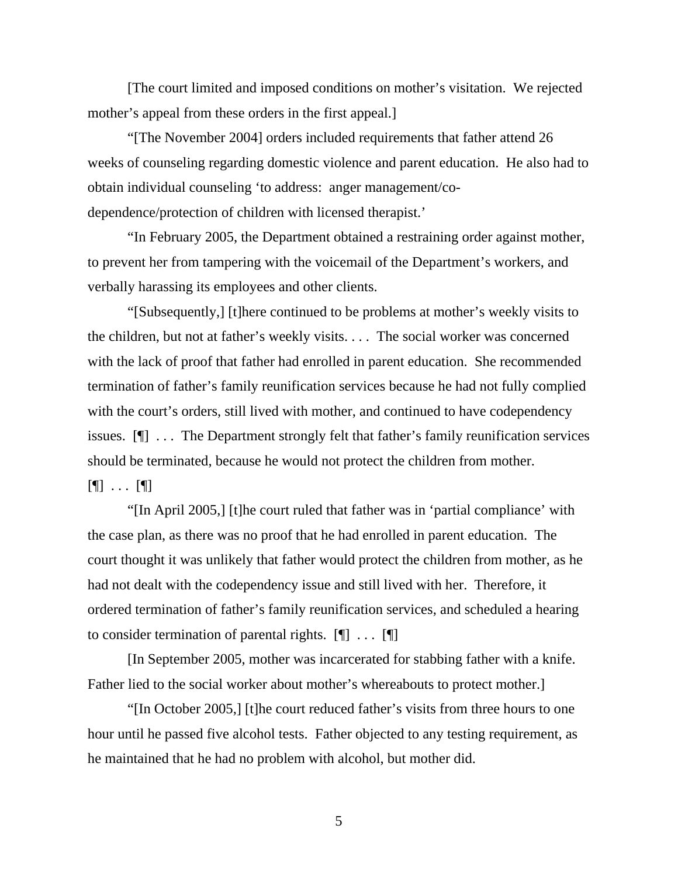[The court limited and imposed conditions on mother's visitation. We rejected mother's appeal from these orders in the first appeal.]

 "[The November 2004] orders included requirements that father attend 26 weeks of counseling regarding domestic violence and parent education. He also had to obtain individual counseling 'to address: anger management/codependence/protection of children with licensed therapist.'

 "In February 2005, the Department obtained a restraining order against mother, to prevent her from tampering with the voicemail of the Department's workers, and verbally harassing its employees and other clients.

 "[Subsequently,] [t]here continued to be problems at mother's weekly visits to the children, but not at father's weekly visits. . . . The social worker was concerned with the lack of proof that father had enrolled in parent education. She recommended termination of father's family reunification services because he had not fully complied with the court's orders, still lived with mother, and continued to have codependency issues. [¶] . . . The Department strongly felt that father's family reunification services should be terminated, because he would not protect the children from mother.  $[\P]$  ...  $[\P]$ 

 "[In April 2005,] [t]he court ruled that father was in 'partial compliance' with the case plan, as there was no proof that he had enrolled in parent education. The court thought it was unlikely that father would protect the children from mother, as he had not dealt with the codependency issue and still lived with her. Therefore, it ordered termination of father's family reunification services, and scheduled a hearing to consider termination of parental rights.  $[\n\mathbb{T} \dots \mathbb{T}]$ 

 [In September 2005, mother was incarcerated for stabbing father with a knife. Father lied to the social worker about mother's whereabouts to protect mother.]

 "[In October 2005,] [t]he court reduced father's visits from three hours to one hour until he passed five alcohol tests. Father objected to any testing requirement, as he maintained that he had no problem with alcohol, but mother did.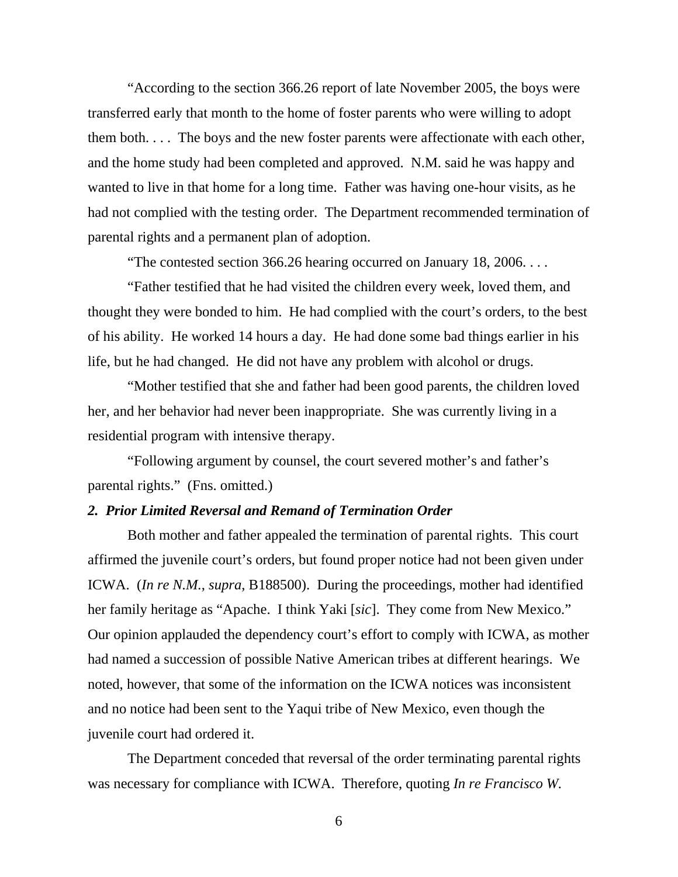"According to the section 366.26 report of late November 2005, the boys were transferred early that month to the home of foster parents who were willing to adopt them both. . . . The boys and the new foster parents were affectionate with each other, and the home study had been completed and approved. N.M. said he was happy and wanted to live in that home for a long time. Father was having one-hour visits, as he had not complied with the testing order. The Department recommended termination of parental rights and a permanent plan of adoption.

"The contested section 366.26 hearing occurred on January 18, 2006. . . .

 "Father testified that he had visited the children every week, loved them, and thought they were bonded to him. He had complied with the court's orders, to the best of his ability. He worked 14 hours a day. He had done some bad things earlier in his life, but he had changed. He did not have any problem with alcohol or drugs.

 "Mother testified that she and father had been good parents, the children loved her, and her behavior had never been inappropriate. She was currently living in a residential program with intensive therapy.

 "Following argument by counsel, the court severed mother's and father's parental rights." (Fns. omitted.)

#### *2. Prior Limited Reversal and Remand of Termination Order*

 Both mother and father appealed the termination of parental rights. This court affirmed the juvenile court's orders, but found proper notice had not been given under ICWA. (*In re N.M.*, *supra*, B188500). During the proceedings, mother had identified her family heritage as "Apache. I think Yaki [*sic*]. They come from New Mexico." Our opinion applauded the dependency court's effort to comply with ICWA, as mother had named a succession of possible Native American tribes at different hearings. We noted, however, that some of the information on the ICWA notices was inconsistent and no notice had been sent to the Yaqui tribe of New Mexico, even though the juvenile court had ordered it.

 The Department conceded that reversal of the order terminating parental rights was necessary for compliance with ICWA. Therefore, quoting *In re Francisco W.*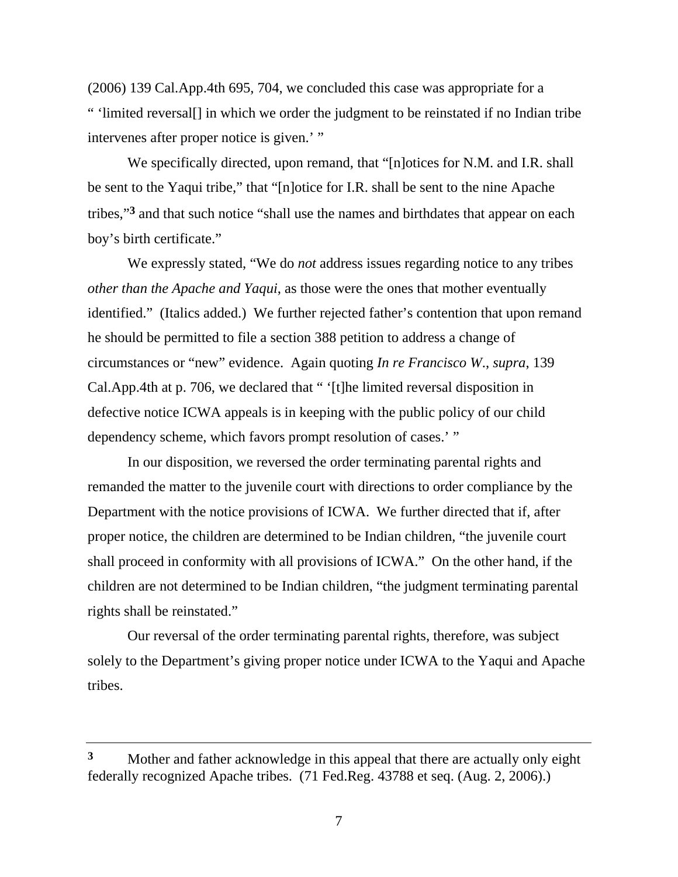(2006) 139 Cal.App.4th 695, 704, we concluded this case was appropriate for a " 'limited reversal[] in which we order the judgment to be reinstated if no Indian tribe intervenes after proper notice is given.' "

We specifically directed, upon remand, that "[n]otices for N.M. and I.R. shall be sent to the Yaqui tribe," that "[n]otice for I.R. shall be sent to the nine Apache tribes,"**3** and that such notice "shall use the names and birthdates that appear on each boy's birth certificate."

 We expressly stated, "We do *not* address issues regarding notice to any tribes *other than the Apache and Yaqui*, as those were the ones that mother eventually identified." (Italics added.) We further rejected father's contention that upon remand he should be permitted to file a section 388 petition to address a change of circumstances or "new" evidence. Again quoting *In re Francisco W*., *supra*, 139 Cal.App.4th at p. 706, we declared that " '[t]he limited reversal disposition in defective notice ICWA appeals is in keeping with the public policy of our child dependency scheme, which favors prompt resolution of cases.'"

 In our disposition, we reversed the order terminating parental rights and remanded the matter to the juvenile court with directions to order compliance by the Department with the notice provisions of ICWA. We further directed that if, after proper notice, the children are determined to be Indian children, "the juvenile court shall proceed in conformity with all provisions of ICWA." On the other hand, if the children are not determined to be Indian children, "the judgment terminating parental rights shall be reinstated."

 Our reversal of the order terminating parental rights, therefore, was subject solely to the Department's giving proper notice under ICWA to the Yaqui and Apache tribes.

**<sup>3</sup>** Mother and father acknowledge in this appeal that there are actually only eight federally recognized Apache tribes. (71 Fed.Reg. 43788 et seq. (Aug. 2, 2006).)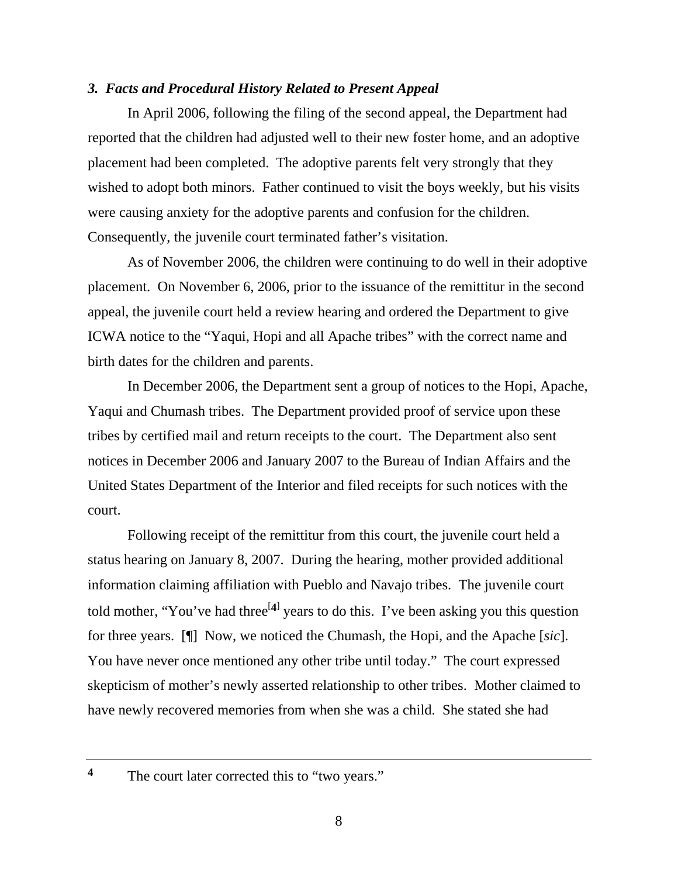#### *3. Facts and Procedural History Related to Present Appeal*

 In April 2006, following the filing of the second appeal, the Department had reported that the children had adjusted well to their new foster home, and an adoptive placement had been completed. The adoptive parents felt very strongly that they wished to adopt both minors. Father continued to visit the boys weekly, but his visits were causing anxiety for the adoptive parents and confusion for the children. Consequently, the juvenile court terminated father's visitation.

 As of November 2006, the children were continuing to do well in their adoptive placement. On November 6, 2006, prior to the issuance of the remittitur in the second appeal, the juvenile court held a review hearing and ordered the Department to give ICWA notice to the "Yaqui, Hopi and all Apache tribes" with the correct name and birth dates for the children and parents.

 In December 2006, the Department sent a group of notices to the Hopi, Apache, Yaqui and Chumash tribes. The Department provided proof of service upon these tribes by certified mail and return receipts to the court. The Department also sent notices in December 2006 and January 2007 to the Bureau of Indian Affairs and the United States Department of the Interior and filed receipts for such notices with the court.

 Following receipt of the remittitur from this court, the juvenile court held a status hearing on January 8, 2007. During the hearing, mother provided additional information claiming affiliation with Pueblo and Navajo tribes. The juvenile court told mother, "You've had three<sup>[4]</sup> years to do this. I've been asking you this question for three years. [¶] Now, we noticed the Chumash, the Hopi, and the Apache [*sic*]. You have never once mentioned any other tribe until today." The court expressed skepticism of mother's newly asserted relationship to other tribes. Mother claimed to have newly recovered memories from when she was a child. She stated she had

<sup>4</sup> The court later corrected this to "two years."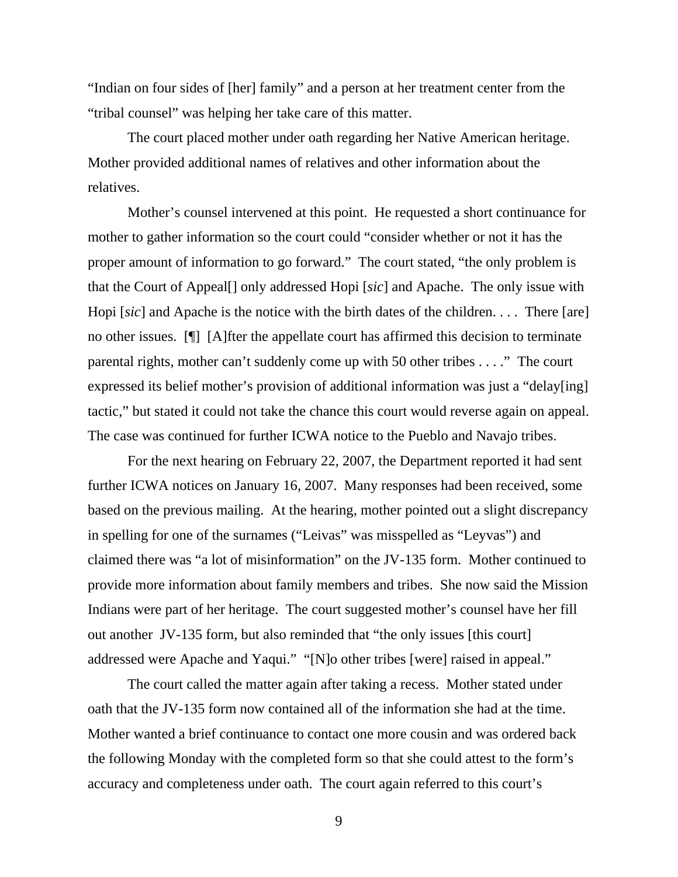"Indian on four sides of [her] family" and a person at her treatment center from the "tribal counsel" was helping her take care of this matter.

 The court placed mother under oath regarding her Native American heritage. Mother provided additional names of relatives and other information about the relatives.

 Mother's counsel intervened at this point. He requested a short continuance for mother to gather information so the court could "consider whether or not it has the proper amount of information to go forward." The court stated, "the only problem is that the Court of Appeal[] only addressed Hopi [*sic*] and Apache. The only issue with Hopi [*sic*] and Apache is the notice with the birth dates of the children. . . . There [are] no other issues. [¶] [A]fter the appellate court has affirmed this decision to terminate parental rights, mother can't suddenly come up with 50 other tribes . . . ." The court expressed its belief mother's provision of additional information was just a "delay[ing] tactic," but stated it could not take the chance this court would reverse again on appeal. The case was continued for further ICWA notice to the Pueblo and Navajo tribes.

 For the next hearing on February 22, 2007, the Department reported it had sent further ICWA notices on January 16, 2007. Many responses had been received, some based on the previous mailing. At the hearing, mother pointed out a slight discrepancy in spelling for one of the surnames ("Leivas" was misspelled as "Leyvas") and claimed there was "a lot of misinformation" on the JV-135 form. Mother continued to provide more information about family members and tribes. She now said the Mission Indians were part of her heritage. The court suggested mother's counsel have her fill out another JV-135 form, but also reminded that "the only issues [this court] addressed were Apache and Yaqui." "[N]o other tribes [were] raised in appeal."

 The court called the matter again after taking a recess. Mother stated under oath that the JV-135 form now contained all of the information she had at the time. Mother wanted a brief continuance to contact one more cousin and was ordered back the following Monday with the completed form so that she could attest to the form's accuracy and completeness under oath. The court again referred to this court's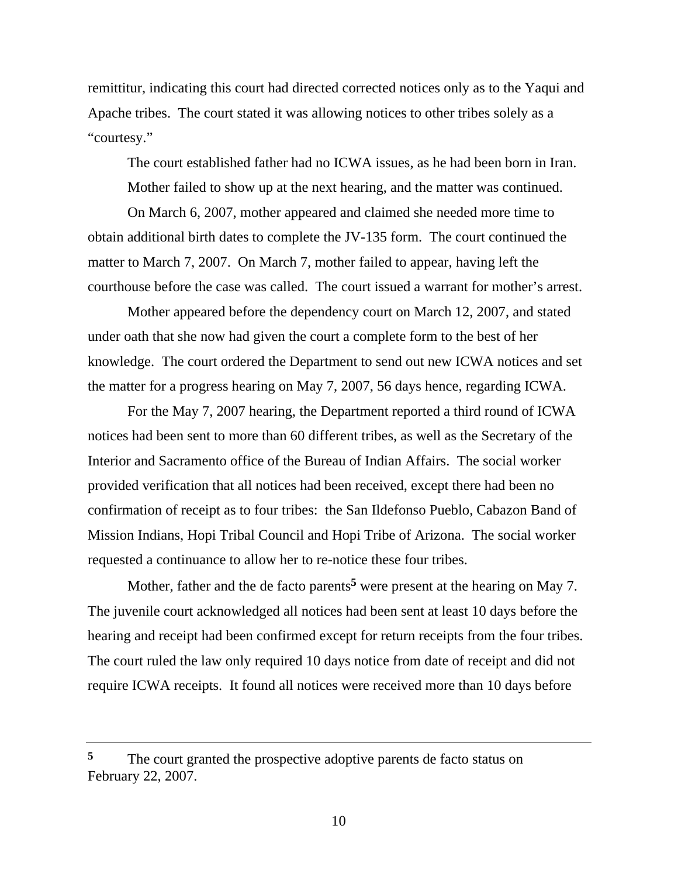remittitur, indicating this court had directed corrected notices only as to the Yaqui and Apache tribes. The court stated it was allowing notices to other tribes solely as a "courtesy."

 The court established father had no ICWA issues, as he had been born in Iran. Mother failed to show up at the next hearing, and the matter was continued.

 On March 6, 2007, mother appeared and claimed she needed more time to obtain additional birth dates to complete the JV-135 form. The court continued the matter to March 7, 2007. On March 7, mother failed to appear, having left the courthouse before the case was called. The court issued a warrant for mother's arrest.

 Mother appeared before the dependency court on March 12, 2007, and stated under oath that she now had given the court a complete form to the best of her knowledge. The court ordered the Department to send out new ICWA notices and set the matter for a progress hearing on May 7, 2007, 56 days hence, regarding ICWA.

 For the May 7, 2007 hearing, the Department reported a third round of ICWA notices had been sent to more than 60 different tribes, as well as the Secretary of the Interior and Sacramento office of the Bureau of Indian Affairs. The social worker provided verification that all notices had been received, except there had been no confirmation of receipt as to four tribes: the San Ildefonso Pueblo, Cabazon Band of Mission Indians, Hopi Tribal Council and Hopi Tribe of Arizona. The social worker requested a continuance to allow her to re-notice these four tribes.

Mother, father and the de facto parents<sup>5</sup> were present at the hearing on May 7. The juvenile court acknowledged all notices had been sent at least 10 days before the hearing and receipt had been confirmed except for return receipts from the four tribes. The court ruled the law only required 10 days notice from date of receipt and did not require ICWA receipts. It found all notices were received more than 10 days before

<sup>&</sup>lt;sup>5</sup> The court granted the prospective adoptive parents de facto status on February 22, 2007.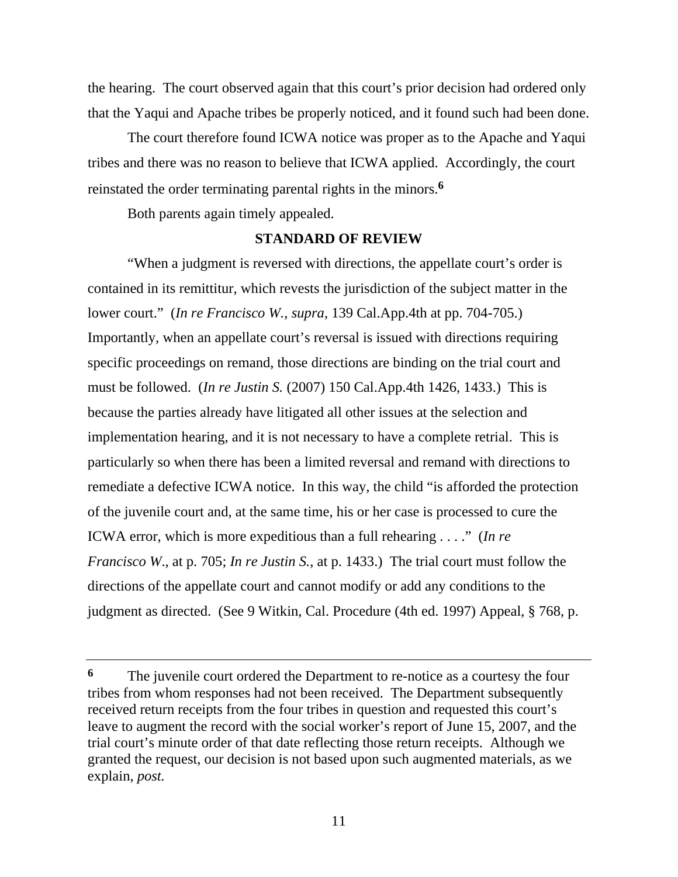the hearing. The court observed again that this court's prior decision had ordered only that the Yaqui and Apache tribes be properly noticed, and it found such had been done.

 The court therefore found ICWA notice was proper as to the Apache and Yaqui tribes and there was no reason to believe that ICWA applied. Accordingly, the court reinstated the order terminating parental rights in the minors.**<sup>6</sup>**

Both parents again timely appealed.

## **STANDARD OF REVIEW**

 "When a judgment is reversed with directions, the appellate court's order is contained in its remittitur, which revests the jurisdiction of the subject matter in the lower court." (*In re Francisco W.*, *supra*, 139 Cal.App.4th at pp. 704-705.) Importantly, when an appellate court's reversal is issued with directions requiring specific proceedings on remand, those directions are binding on the trial court and must be followed. (*In re Justin S.* (2007) 150 Cal.App.4th 1426, 1433.) This is because the parties already have litigated all other issues at the selection and implementation hearing, and it is not necessary to have a complete retrial. This is particularly so when there has been a limited reversal and remand with directions to remediate a defective ICWA notice. In this way, the child "is afforded the protection of the juvenile court and, at the same time, his or her case is processed to cure the ICWA error, which is more expeditious than a full rehearing . . . ." (*In re Francisco W*., at p. 705; *In re Justin S.*, at p. 1433.) The trial court must follow the directions of the appellate court and cannot modify or add any conditions to the judgment as directed. (See 9 Witkin, Cal. Procedure (4th ed. 1997) Appeal, § 768, p.

**<sup>6</sup>** The juvenile court ordered the Department to re-notice as a courtesy the four tribes from whom responses had not been received. The Department subsequently received return receipts from the four tribes in question and requested this court's leave to augment the record with the social worker's report of June 15, 2007, and the trial court's minute order of that date reflecting those return receipts. Although we granted the request, our decision is not based upon such augmented materials, as we explain, *post.*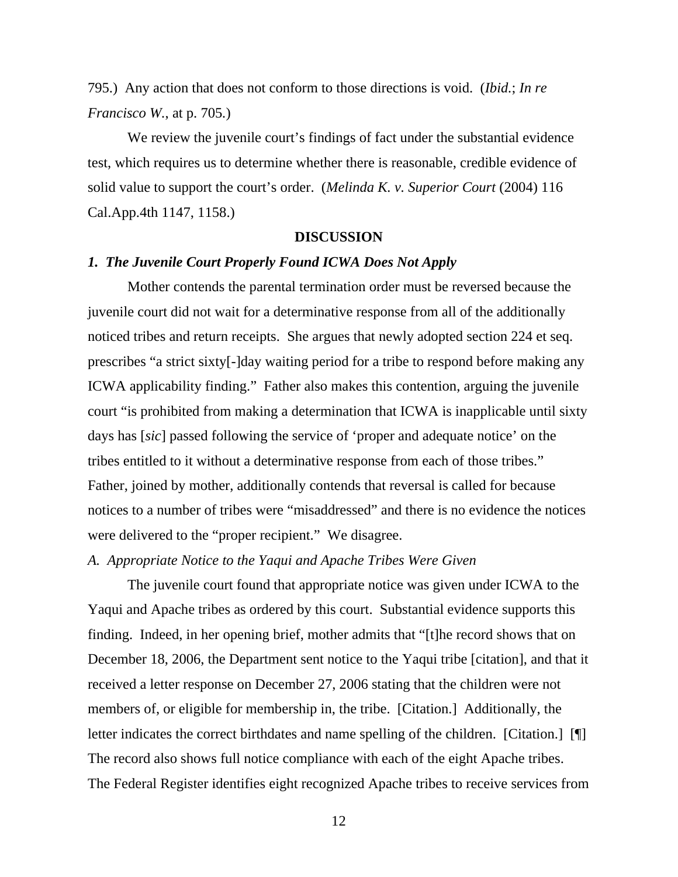795.) Any action that does not conform to those directions is void. (*Ibid.*; *In re Francisco W.*, at p. 705*.*)

We review the juvenile court's findings of fact under the substantial evidence test, which requires us to determine whether there is reasonable, credible evidence of solid value to support the court's order. (*Melinda K. v. Superior Court* (2004) 116 Cal.App.4th 1147, 1158.)

#### **DISCUSSION**

#### *1. The Juvenile Court Properly Found ICWA Does Not Apply*

 Mother contends the parental termination order must be reversed because the juvenile court did not wait for a determinative response from all of the additionally noticed tribes and return receipts. She argues that newly adopted section 224 et seq. prescribes "a strict sixty[-]day waiting period for a tribe to respond before making any ICWA applicability finding." Father also makes this contention, arguing the juvenile court "is prohibited from making a determination that ICWA is inapplicable until sixty days has [*sic*] passed following the service of 'proper and adequate notice' on the tribes entitled to it without a determinative response from each of those tribes." Father, joined by mother, additionally contends that reversal is called for because notices to a number of tribes were "misaddressed" and there is no evidence the notices were delivered to the "proper recipient." We disagree.

## *A. Appropriate Notice to the Yaqui and Apache Tribes Were Given*

 The juvenile court found that appropriate notice was given under ICWA to the Yaqui and Apache tribes as ordered by this court. Substantial evidence supports this finding. Indeed, in her opening brief, mother admits that "[t]he record shows that on December 18, 2006, the Department sent notice to the Yaqui tribe [citation], and that it received a letter response on December 27, 2006 stating that the children were not members of, or eligible for membership in, the tribe. [Citation.] Additionally, the letter indicates the correct birthdates and name spelling of the children. [Citation.] [¶] The record also shows full notice compliance with each of the eight Apache tribes. The Federal Register identifies eight recognized Apache tribes to receive services from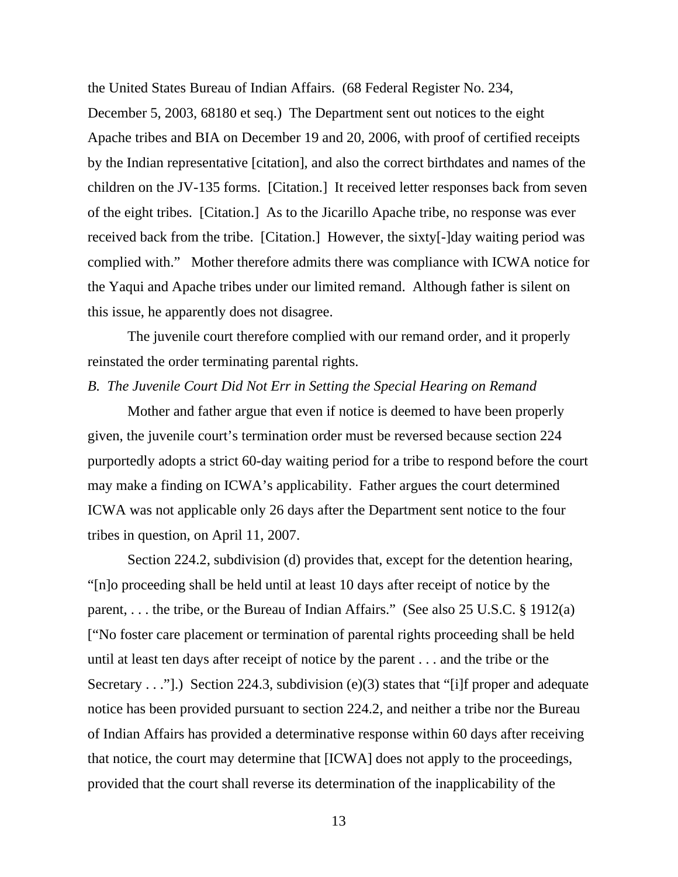the United States Bureau of Indian Affairs. (68 Federal Register No. 234,

December 5, 2003, 68180 et seq.) The Department sent out notices to the eight Apache tribes and BIA on December 19 and 20, 2006, with proof of certified receipts by the Indian representative [citation], and also the correct birthdates and names of the children on the JV-135 forms. [Citation.] It received letter responses back from seven of the eight tribes. [Citation.] As to the Jicarillo Apache tribe, no response was ever received back from the tribe. [Citation.] However, the sixty[-]day waiting period was complied with." Mother therefore admits there was compliance with ICWA notice for the Yaqui and Apache tribes under our limited remand. Although father is silent on this issue, he apparently does not disagree.

 The juvenile court therefore complied with our remand order, and it properly reinstated the order terminating parental rights.

### *B. The Juvenile Court Did Not Err in Setting the Special Hearing on Remand*

Mother and father argue that even if notice is deemed to have been properly given, the juvenile court's termination order must be reversed because section 224 purportedly adopts a strict 60-day waiting period for a tribe to respond before the court may make a finding on ICWA's applicability. Father argues the court determined ICWA was not applicable only 26 days after the Department sent notice to the four tribes in question, on April 11, 2007.

 Section 224.2, subdivision (d) provides that, except for the detention hearing, "[n]o proceeding shall be held until at least 10 days after receipt of notice by the parent, . . . the tribe, or the Bureau of Indian Affairs." (See also 25 U.S.C. § 1912(a) ["No foster care placement or termination of parental rights proceeding shall be held until at least ten days after receipt of notice by the parent . . . and the tribe or the Secretary  $\dots$ ".) Section 224.3, subdivision (e)(3) states that "[i]f proper and adequate notice has been provided pursuant to section 224.2, and neither a tribe nor the Bureau of Indian Affairs has provided a determinative response within 60 days after receiving that notice, the court may determine that [ICWA] does not apply to the proceedings, provided that the court shall reverse its determination of the inapplicability of the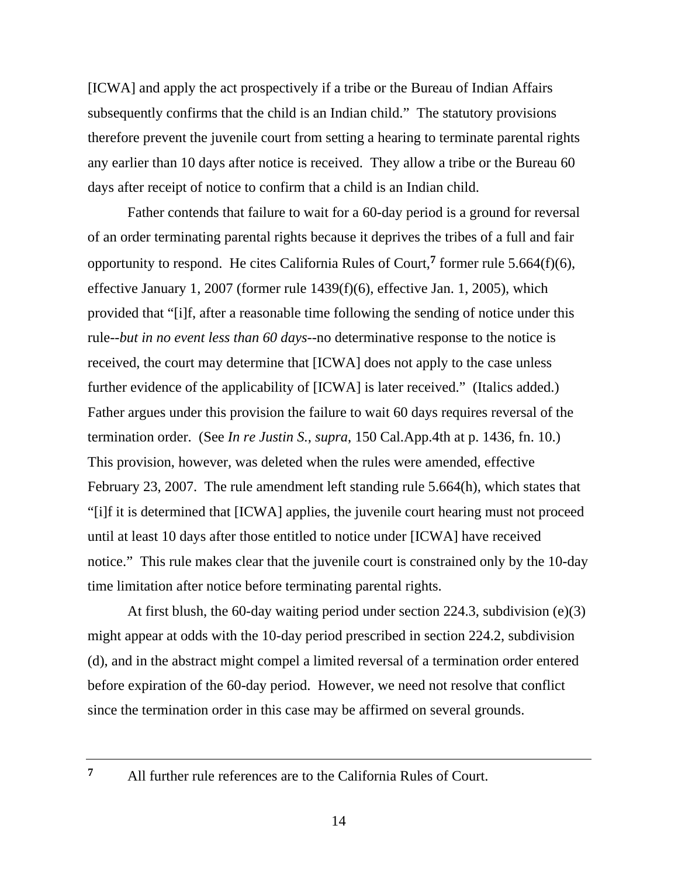[ICWA] and apply the act prospectively if a tribe or the Bureau of Indian Affairs subsequently confirms that the child is an Indian child." The statutory provisions therefore prevent the juvenile court from setting a hearing to terminate parental rights any earlier than 10 days after notice is received. They allow a tribe or the Bureau 60 days after receipt of notice to confirm that a child is an Indian child.

 Father contends that failure to wait for a 60-day period is a ground for reversal of an order terminating parental rights because it deprives the tribes of a full and fair opportunity to respond. He cites California Rules of Court,**7** former rule 5.664(f)(6), effective January 1, 2007 (former rule 1439(f)(6), effective Jan. 1, 2005), which provided that "[i]f, after a reasonable time following the sending of notice under this rule--*but in no event less than 60 days*--no determinative response to the notice is received, the court may determine that [ICWA] does not apply to the case unless further evidence of the applicability of [ICWA] is later received." (Italics added.) Father argues under this provision the failure to wait 60 days requires reversal of the termination order. (See *In re Justin S.*, *supra*, 150 Cal.App.4th at p. 1436, fn. 10.) This provision, however, was deleted when the rules were amended, effective February 23, 2007. The rule amendment left standing rule 5.664(h), which states that "[i]f it is determined that [ICWA] applies, the juvenile court hearing must not proceed until at least 10 days after those entitled to notice under [ICWA] have received notice." This rule makes clear that the juvenile court is constrained only by the 10-day time limitation after notice before terminating parental rights.

 At first blush, the 60-day waiting period under section 224.3, subdivision (e)(3) might appear at odds with the 10-day period prescribed in section 224.2, subdivision (d), and in the abstract might compel a limited reversal of a termination order entered before expiration of the 60-day period. However, we need not resolve that conflict since the termination order in this case may be affirmed on several grounds.

**<sup>7</sup>** All further rule references are to the California Rules of Court.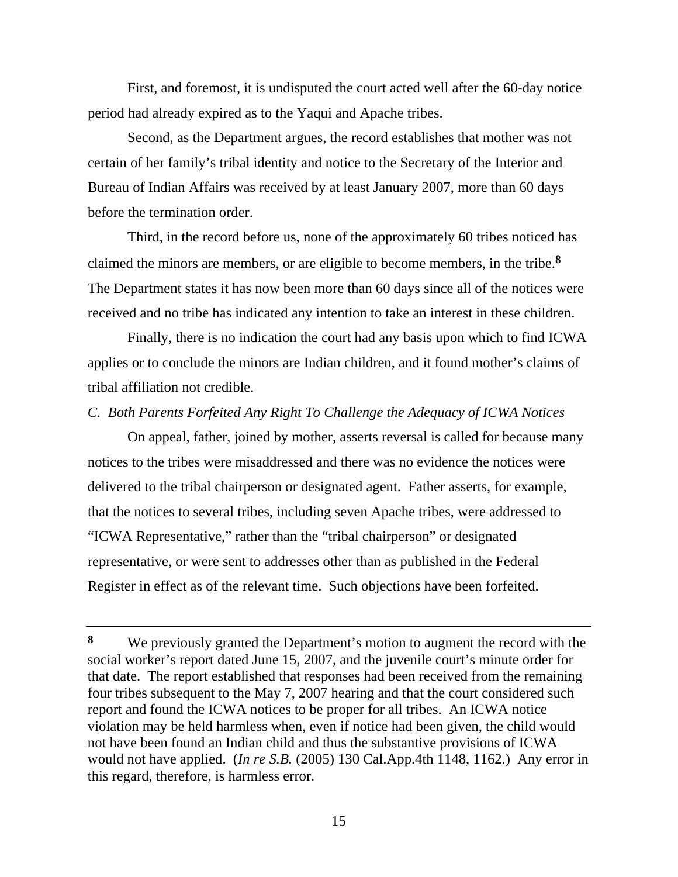First, and foremost, it is undisputed the court acted well after the 60-day notice period had already expired as to the Yaqui and Apache tribes.

 Second, as the Department argues, the record establishes that mother was not certain of her family's tribal identity and notice to the Secretary of the Interior and Bureau of Indian Affairs was received by at least January 2007, more than 60 days before the termination order.

 Third, in the record before us, none of the approximately 60 tribes noticed has claimed the minors are members, or are eligible to become members, in the tribe.**<sup>8</sup>** The Department states it has now been more than 60 days since all of the notices were received and no tribe has indicated any intention to take an interest in these children.

 Finally, there is no indication the court had any basis upon which to find ICWA applies or to conclude the minors are Indian children, and it found mother's claims of tribal affiliation not credible.

#### *C. Both Parents Forfeited Any Right To Challenge the Adequacy of ICWA Notices*

 On appeal, father, joined by mother, asserts reversal is called for because many notices to the tribes were misaddressed and there was no evidence the notices were delivered to the tribal chairperson or designated agent. Father asserts, for example, that the notices to several tribes, including seven Apache tribes, were addressed to "ICWA Representative," rather than the "tribal chairperson" or designated representative, or were sent to addresses other than as published in the Federal Register in effect as of the relevant time. Such objections have been forfeited.

**<sup>8</sup>** We previously granted the Department's motion to augment the record with the social worker's report dated June 15, 2007, and the juvenile court's minute order for that date. The report established that responses had been received from the remaining four tribes subsequent to the May 7, 2007 hearing and that the court considered such report and found the ICWA notices to be proper for all tribes. An ICWA notice violation may be held harmless when, even if notice had been given, the child would not have been found an Indian child and thus the substantive provisions of ICWA would not have applied. (*In re S.B.* (2005) 130 Cal.App.4th 1148, 1162.) Any error in this regard, therefore, is harmless error.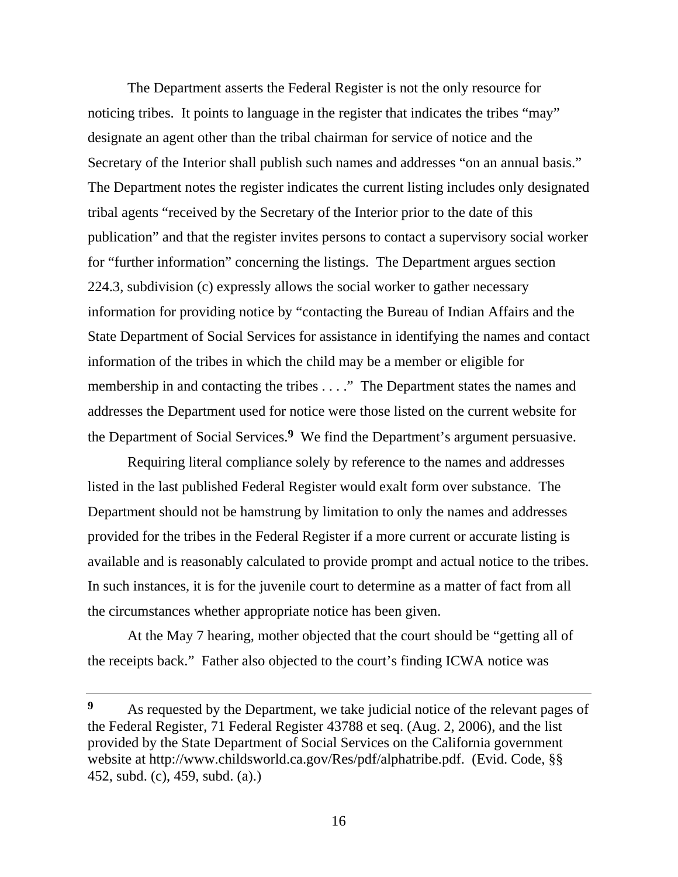The Department asserts the Federal Register is not the only resource for noticing tribes. It points to language in the register that indicates the tribes "may" designate an agent other than the tribal chairman for service of notice and the Secretary of the Interior shall publish such names and addresses "on an annual basis." The Department notes the register indicates the current listing includes only designated tribal agents "received by the Secretary of the Interior prior to the date of this publication" and that the register invites persons to contact a supervisory social worker for "further information" concerning the listings. The Department argues section 224.3, subdivision (c) expressly allows the social worker to gather necessary information for providing notice by "contacting the Bureau of Indian Affairs and the State Department of Social Services for assistance in identifying the names and contact information of the tribes in which the child may be a member or eligible for membership in and contacting the tribes . . . ." The Department states the names and addresses the Department used for notice were those listed on the current website for the Department of Social Services.**9** We find the Department's argument persuasive.

 Requiring literal compliance solely by reference to the names and addresses listed in the last published Federal Register would exalt form over substance. The Department should not be hamstrung by limitation to only the names and addresses provided for the tribes in the Federal Register if a more current or accurate listing is available and is reasonably calculated to provide prompt and actual notice to the tribes. In such instances, it is for the juvenile court to determine as a matter of fact from all the circumstances whether appropriate notice has been given.

 At the May 7 hearing, mother objected that the court should be "getting all of the receipts back." Father also objected to the court's finding ICWA notice was

**<sup>9</sup>** As requested by the Department, we take judicial notice of the relevant pages of the Federal Register, 71 Federal Register 43788 et seq. (Aug. 2, 2006), and the list provided by the State Department of Social Services on the California government website at http://www.childsworld.ca.gov/Res/pdf/alphatribe.pdf. (Evid. Code, §§ 452, subd. (c), 459, subd. (a).)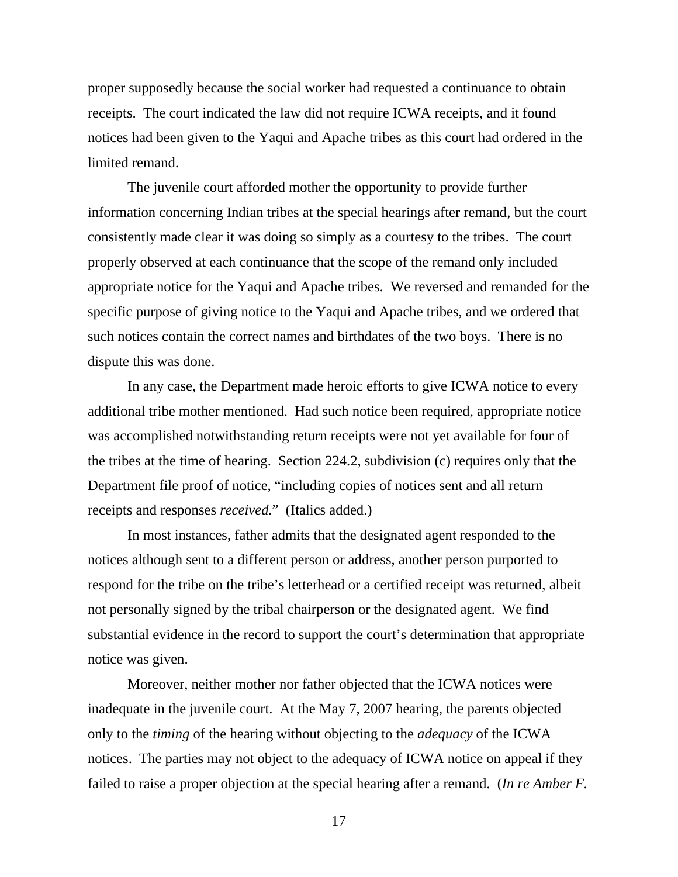proper supposedly because the social worker had requested a continuance to obtain receipts. The court indicated the law did not require ICWA receipts, and it found notices had been given to the Yaqui and Apache tribes as this court had ordered in the limited remand.

 The juvenile court afforded mother the opportunity to provide further information concerning Indian tribes at the special hearings after remand, but the court consistently made clear it was doing so simply as a courtesy to the tribes. The court properly observed at each continuance that the scope of the remand only included appropriate notice for the Yaqui and Apache tribes. We reversed and remanded for the specific purpose of giving notice to the Yaqui and Apache tribes, and we ordered that such notices contain the correct names and birthdates of the two boys. There is no dispute this was done.

 In any case, the Department made heroic efforts to give ICWA notice to every additional tribe mother mentioned. Had such notice been required, appropriate notice was accomplished notwithstanding return receipts were not yet available for four of the tribes at the time of hearing. Section 224.2, subdivision (c) requires only that the Department file proof of notice, "including copies of notices sent and all return receipts and responses *received.*" (Italics added.)

 In most instances, father admits that the designated agent responded to the notices although sent to a different person or address, another person purported to respond for the tribe on the tribe's letterhead or a certified receipt was returned, albeit not personally signed by the tribal chairperson or the designated agent. We find substantial evidence in the record to support the court's determination that appropriate notice was given.

 Moreover, neither mother nor father objected that the ICWA notices were inadequate in the juvenile court. At the May 7, 2007 hearing, the parents objected only to the *timing* of the hearing without objecting to the *adequacy* of the ICWA notices. The parties may not object to the adequacy of ICWA notice on appeal if they failed to raise a proper objection at the special hearing after a remand. (*In re Amber F.*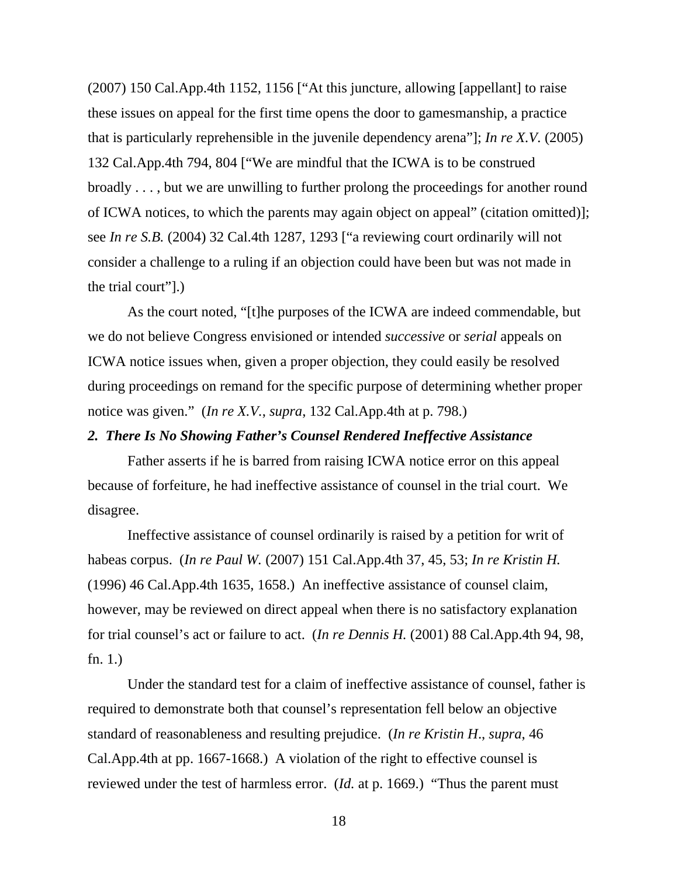(2007) 150 Cal.App.4th 1152, 1156 ["At this juncture, allowing [appellant] to raise these issues on appeal for the first time opens the door to gamesmanship, a practice that is particularly reprehensible in the juvenile dependency arena"]; *In re X.V.* (2005) 132 Cal.App.4th 794, 804 ["We are mindful that the ICWA is to be construed broadly . . . , but we are unwilling to further prolong the proceedings for another round of ICWA notices, to which the parents may again object on appeal" (citation omitted)]; see *In re S.B.* (2004) 32 Cal.4th 1287, 1293 ["a reviewing court ordinarily will not consider a challenge to a ruling if an objection could have been but was not made in the trial court"].)

 As the court noted, "[t]he purposes of the ICWA are indeed commendable, but we do not believe Congress envisioned or intended *successive* or *serial* appeals on ICWA notice issues when, given a proper objection, they could easily be resolved during proceedings on remand for the specific purpose of determining whether proper notice was given." (*In re X.V.*, *supra*, 132 Cal.App.4th at p. 798.)

#### *2. There Is No Showing Father's Counsel Rendered Ineffective Assistance*

 Father asserts if he is barred from raising ICWA notice error on this appeal because of forfeiture, he had ineffective assistance of counsel in the trial court. We disagree.

 Ineffective assistance of counsel ordinarily is raised by a petition for writ of habeas corpus. (*In re Paul W.* (2007) 151 Cal.App.4th 37, 45, 53; *In re Kristin H.* (1996) 46 Cal.App.4th 1635, 1658.) An ineffective assistance of counsel claim, however, may be reviewed on direct appeal when there is no satisfactory explanation for trial counsel's act or failure to act. (*In re Dennis H.* (2001) 88 Cal.App.4th 94, 98, fn. 1.)

 Under the standard test for a claim of ineffective assistance of counsel, father is required to demonstrate both that counsel's representation fell below an objective standard of reasonableness and resulting prejudice. (*In re Kristin H*., *supra*, 46 Cal.App.4th at pp. 1667-1668.) A violation of the right to effective counsel is reviewed under the test of harmless error. (*Id.* at p. 1669.) "Thus the parent must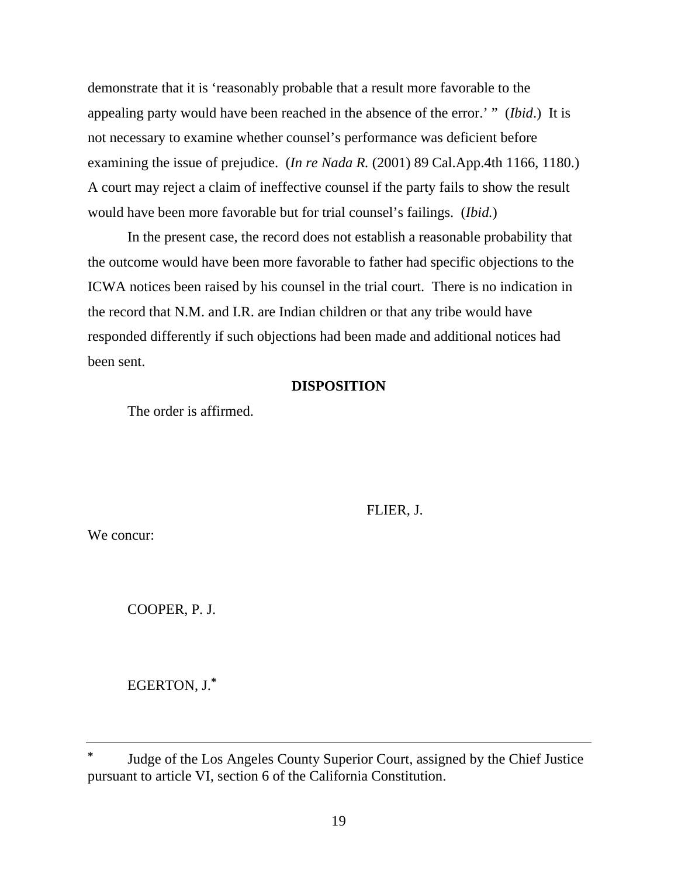demonstrate that it is 'reasonably probable that a result more favorable to the appealing party would have been reached in the absence of the error.' " (*Ibid*.) It is not necessary to examine whether counsel's performance was deficient before examining the issue of prejudice. (*In re Nada R.* (2001) 89 Cal.App.4th 1166, 1180.) A court may reject a claim of ineffective counsel if the party fails to show the result would have been more favorable but for trial counsel's failings. (*Ibid.*)

 In the present case, the record does not establish a reasonable probability that the outcome would have been more favorable to father had specific objections to the ICWA notices been raised by his counsel in the trial court. There is no indication in the record that N.M. and I.R. are Indian children or that any tribe would have responded differently if such objections had been made and additional notices had been sent.

## **DISPOSITION**

The order is affirmed.

FLIER, J.

We concur:

COOPER, P. J.

EGERTON, J.**\***

**<sup>\*</sup>** Judge of the Los Angeles County Superior Court, assigned by the Chief Justice pursuant to article VI, section 6 of the California Constitution.